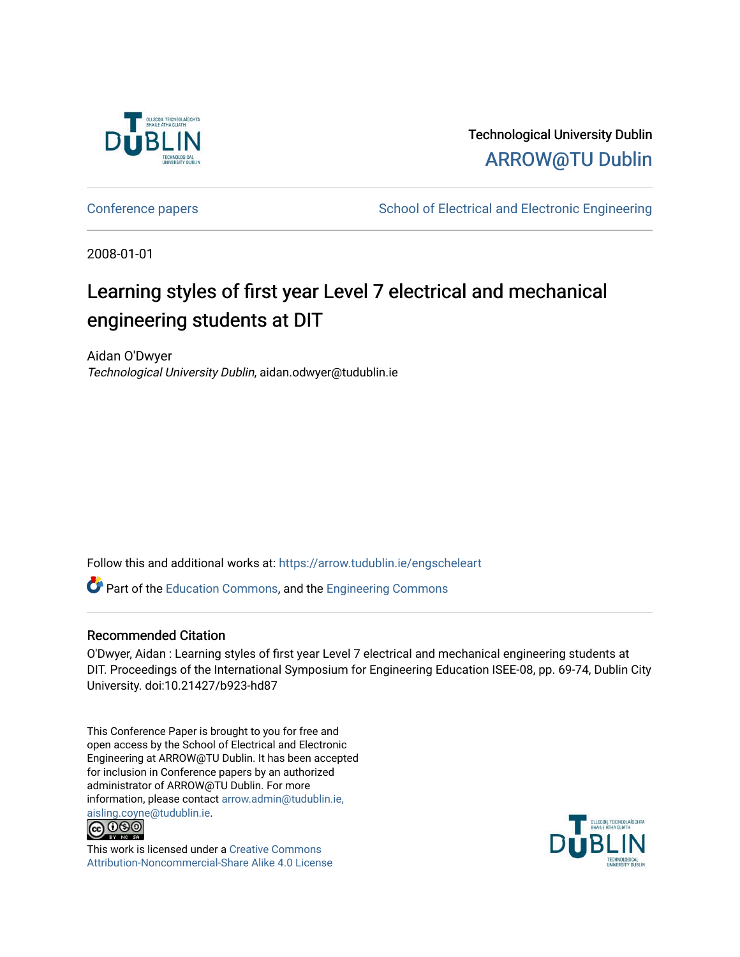

Technological University Dublin [ARROW@TU Dublin](https://arrow.tudublin.ie/) 

[Conference papers](https://arrow.tudublin.ie/engscheleart) **School of Electrical and Electronic Engineering** 

2008-01-01

# Learning styles of first year Level 7 electrical and mechanical engineering students at DIT

Aidan O'Dwyer Technological University Dublin, aidan.odwyer@tudublin.ie

Follow this and additional works at: [https://arrow.tudublin.ie/engscheleart](https://arrow.tudublin.ie/engscheleart?utm_source=arrow.tudublin.ie%2Fengscheleart%2F8&utm_medium=PDF&utm_campaign=PDFCoverPages) 

Part of the [Education Commons](http://network.bepress.com/hgg/discipline/784?utm_source=arrow.tudublin.ie%2Fengscheleart%2F8&utm_medium=PDF&utm_campaign=PDFCoverPages), and the [Engineering Commons](http://network.bepress.com/hgg/discipline/217?utm_source=arrow.tudublin.ie%2Fengscheleart%2F8&utm_medium=PDF&utm_campaign=PDFCoverPages)

#### Recommended Citation

O'Dwyer, Aidan : Learning styles of first year Level 7 electrical and mechanical engineering students at DIT. Proceedings of the International Symposium for Engineering Education ISEE-08, pp. 69-74, Dublin City University. doi:10.21427/b923-hd87

This Conference Paper is brought to you for free and open access by the School of Electrical and Electronic Engineering at ARROW@TU Dublin. It has been accepted for inclusion in Conference papers by an authorized administrator of ARROW@TU Dublin. For more information, please contact [arrow.admin@tudublin.ie,](mailto:arrow.admin@tudublin.ie,%20aisling.coyne@tudublin.ie)  [aisling.coyne@tudublin.ie.](mailto:arrow.admin@tudublin.ie,%20aisling.coyne@tudublin.ie)<br>© 090



This work is licensed under a [Creative Commons](http://creativecommons.org/licenses/by-nc-sa/4.0/) [Attribution-Noncommercial-Share Alike 4.0 License](http://creativecommons.org/licenses/by-nc-sa/4.0/)

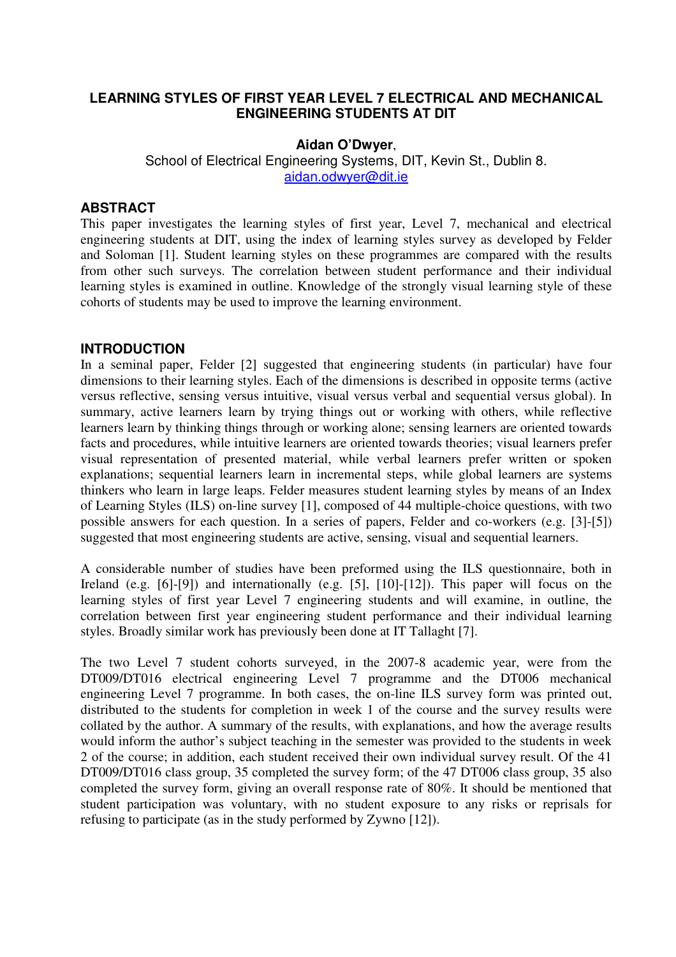## **LEARNING STYLES OF FIRST YEAR LEVEL 7 ELECTRICAL AND MECHANICAL ENGINEERING STUDENTS AT DIT**

#### **Aidan O'Dwyer**,

School of Electrical Engineering Systems, DIT, Kevin St., Dublin 8. aidan.odwyer@dit.ie

### **ABSTRACT**

This paper investigates the learning styles of first year, Level 7, mechanical and electrical engineering students at DIT, using the index of learning styles survey as developed by Felder and Soloman [1]. Student learning styles on these programmes are compared with the results from other such surveys. The correlation between student performance and their individual learning styles is examined in outline. Knowledge of the strongly visual learning style of these cohorts of students may be used to improve the learning environment.

#### **INTRODUCTION**

In a seminal paper, Felder [2] suggested that engineering students (in particular) have four dimensions to their learning styles. Each of the dimensions is described in opposite terms (active versus reflective, sensing versus intuitive, visual versus verbal and sequential versus global). In summary, active learners learn by trying things out or working with others, while reflective learners learn by thinking things through or working alone; sensing learners are oriented towards facts and procedures, while intuitive learners are oriented towards theories; visual learners prefer visual representation of presented material, while verbal learners prefer written or spoken explanations; sequential learners learn in incremental steps, while global learners are systems thinkers who learn in large leaps. Felder measures student learning styles by means of an Index of Learning Styles (ILS) on-line survey [1], composed of 44 multiple-choice questions, with two possible answers for each question. In a series of papers, Felder and co-workers (e.g. [3]-[5]) suggested that most engineering students are active, sensing, visual and sequential learners.

A considerable number of studies have been preformed using the ILS questionnaire, both in Ireland (e.g. [6]-[9]) and internationally (e.g. [5], [10]-[12]). This paper will focus on the learning styles of first year Level 7 engineering students and will examine, in outline, the correlation between first year engineering student performance and their individual learning styles. Broadly similar work has previously been done at IT Tallaght [7].

The two Level 7 student cohorts surveyed, in the 2007-8 academic year, were from the DT009/DT016 electrical engineering Level 7 programme and the DT006 mechanical engineering Level 7 programme. In both cases, the on-line ILS survey form was printed out, distributed to the students for completion in week 1 of the course and the survey results were collated by the author. A summary of the results, with explanations, and how the average results would inform the author's subject teaching in the semester was provided to the students in week 2 of the course; in addition, each student received their own individual survey result. Of the 41 DT009/DT016 class group, 35 completed the survey form; of the 47 DT006 class group, 35 also completed the survey form, giving an overall response rate of 80%. It should be mentioned that student participation was voluntary, with no student exposure to any risks or reprisals for refusing to participate (as in the study performed by Zywno [12]).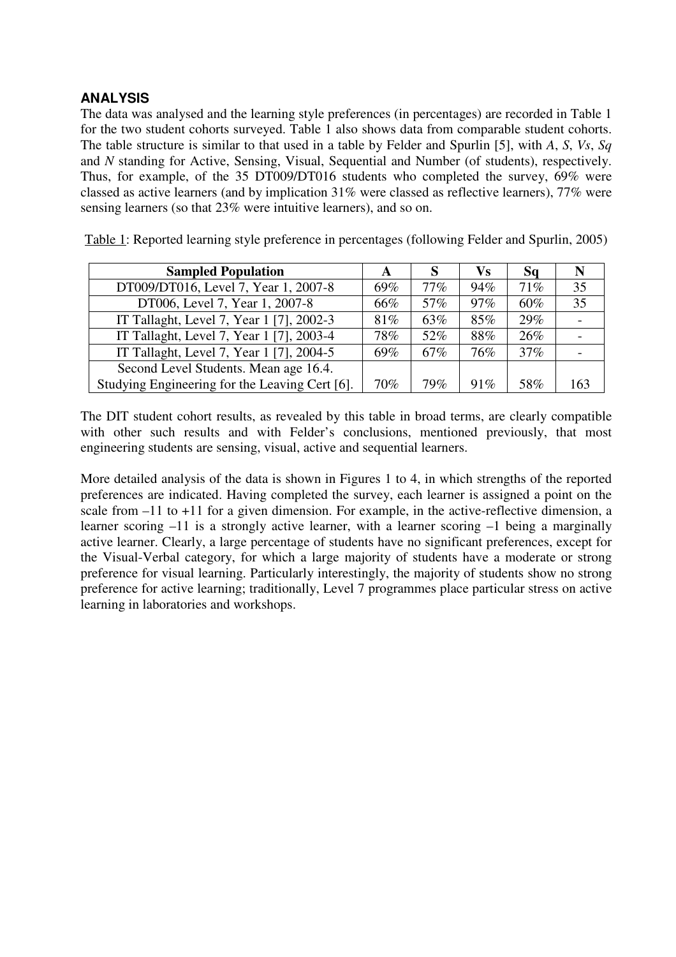# **ANALYSIS**

The data was analysed and the learning style preferences (in percentages) are recorded in Table 1 for the two student cohorts surveyed. Table 1 also shows data from comparable student cohorts. The table structure is similar to that used in a table by Felder and Spurlin [5], with *A*, *S*, *Vs*, *Sq* and *N* standing for Active, Sensing, Visual, Sequential and Number (of students), respectively. Thus, for example, of the 35 DT009/DT016 students who completed the survey, 69% were classed as active learners (and by implication 31% were classed as reflective learners), 77% were sensing learners (so that 23% were intuitive learners), and so on.

| <b>Sampled Population</b>                      | A   |     | Vs     | Sq  | N   |
|------------------------------------------------|-----|-----|--------|-----|-----|
| DT009/DT016, Level 7, Year 1, 2007-8           | 69% | 77% | 94%    | 71% | 35  |
| DT006, Level 7, Year 1, 2007-8                 | 66% | 57% | $97\%$ | 60% | 35  |
| IT Tallaght, Level 7, Year 1 [7], 2002-3       | 81% | 63% | 85%    | 29% |     |
| IT Tallaght, Level 7, Year 1 [7], 2003-4       | 78% | 52% | 88%    | 26% |     |
| IT Tallaght, Level 7, Year 1 [7], 2004-5       | 69% | 67% | 76%    | 37% |     |
| Second Level Students. Mean age 16.4.          |     |     |        |     |     |
| Studying Engineering for the Leaving Cert [6]. | 70% | 79% | 91%    | 58% | 163 |

Table 1: Reported learning style preference in percentages (following Felder and Spurlin, 2005)

The DIT student cohort results, as revealed by this table in broad terms, are clearly compatible with other such results and with Felder's conclusions, mentioned previously, that most engineering students are sensing, visual, active and sequential learners.

More detailed analysis of the data is shown in Figures 1 to 4, in which strengths of the reported preferences are indicated. Having completed the survey, each learner is assigned a point on the scale from –11 to +11 for a given dimension. For example, in the active-reflective dimension, a learner scoring –11 is a strongly active learner, with a learner scoring –1 being a marginally active learner. Clearly, a large percentage of students have no significant preferences, except for the Visual-Verbal category, for which a large majority of students have a moderate or strong preference for visual learning. Particularly interestingly, the majority of students show no strong preference for active learning; traditionally, Level 7 programmes place particular stress on active learning in laboratories and workshops.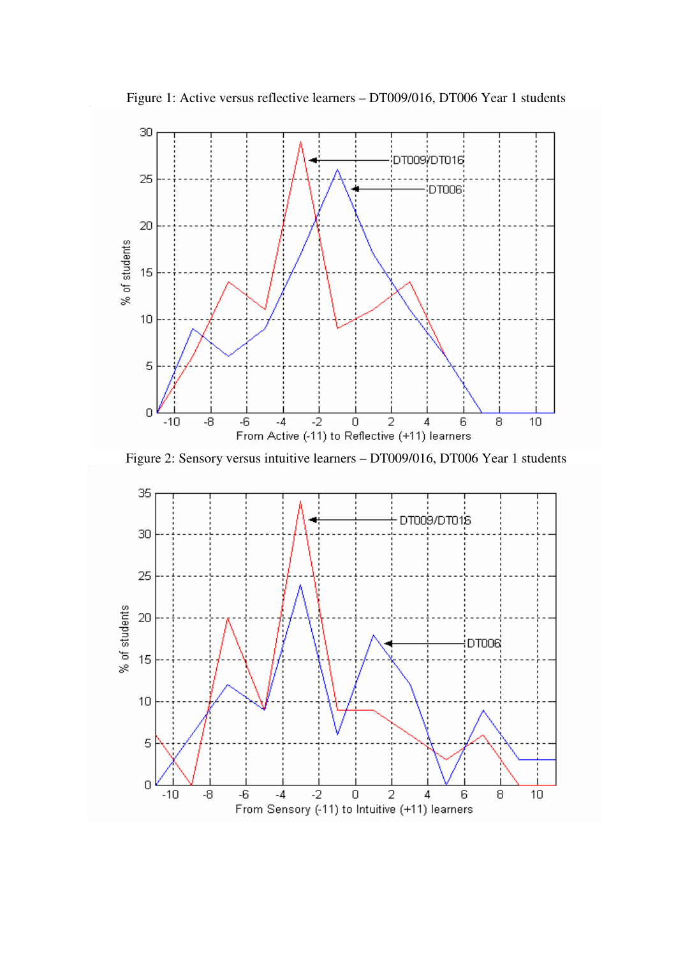

Figure 1: Active versus reflective learners – DT009/016, DT006 Year 1 students



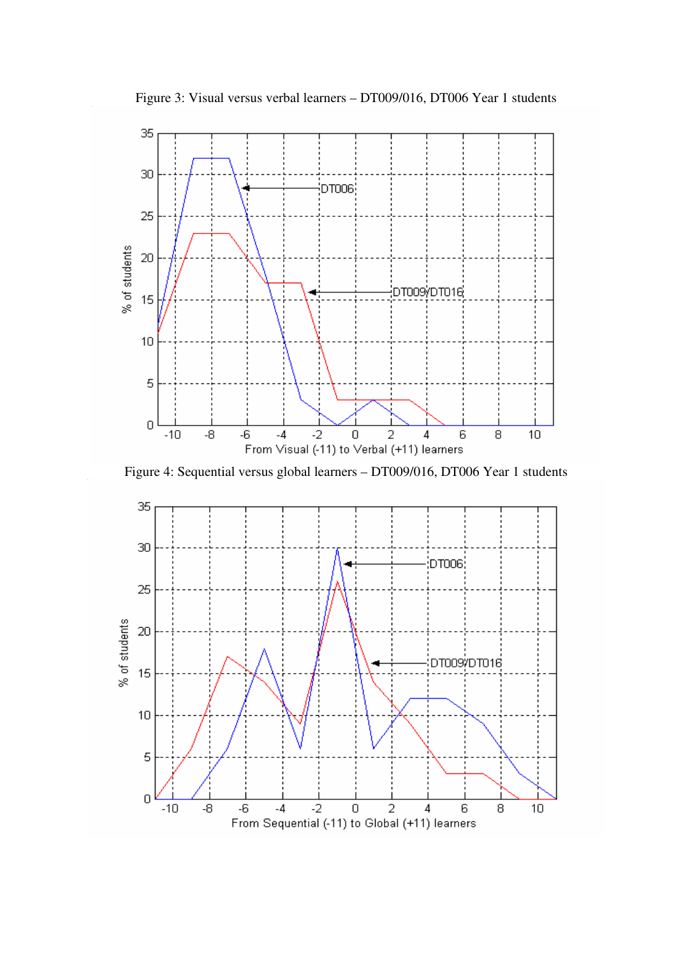Figure 3: Visual versus verbal learners – DT009/016, DT006 Year 1 students



Figure 4: Sequential versus global learners – DT009/016, DT006 Year 1 students

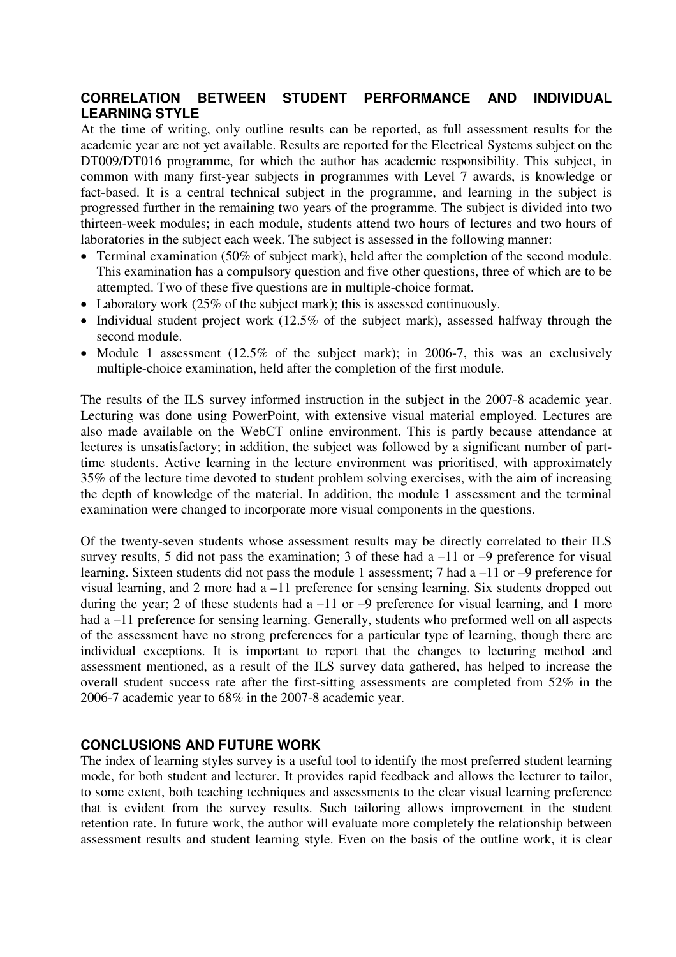## **CORRELATION BETWEEN STUDENT PERFORMANCE AND INDIVIDUAL LEARNING STYLE**

At the time of writing, only outline results can be reported, as full assessment results for the academic year are not yet available. Results are reported for the Electrical Systems subject on the DT009/DT016 programme, for which the author has academic responsibility. This subject, in common with many first-year subjects in programmes with Level 7 awards, is knowledge or fact-based. It is a central technical subject in the programme, and learning in the subject is progressed further in the remaining two years of the programme. The subject is divided into two thirteen-week modules; in each module, students attend two hours of lectures and two hours of laboratories in the subject each week. The subject is assessed in the following manner:

- Terminal examination (50% of subject mark), held after the completion of the second module. This examination has a compulsory question and five other questions, three of which are to be attempted. Two of these five questions are in multiple-choice format.
- Laboratory work (25% of the subject mark); this is assessed continuously.
- Individual student project work (12.5% of the subject mark), assessed halfway through the second module.
- Module 1 assessment (12.5% of the subject mark); in 2006-7, this was an exclusively multiple-choice examination, held after the completion of the first module.

The results of the ILS survey informed instruction in the subject in the 2007-8 academic year. Lecturing was done using PowerPoint, with extensive visual material employed. Lectures are also made available on the WebCT online environment. This is partly because attendance at lectures is unsatisfactory; in addition, the subject was followed by a significant number of parttime students. Active learning in the lecture environment was prioritised, with approximately 35% of the lecture time devoted to student problem solving exercises, with the aim of increasing the depth of knowledge of the material. In addition, the module 1 assessment and the terminal examination were changed to incorporate more visual components in the questions.

Of the twenty-seven students whose assessment results may be directly correlated to their ILS survey results, 5 did not pass the examination; 3 of these had a  $-11$  or  $-9$  preference for visual learning. Sixteen students did not pass the module 1 assessment; 7 had a –11 or –9 preference for visual learning, and 2 more had a –11 preference for sensing learning. Six students dropped out during the year; 2 of these students had a  $-11$  or  $-9$  preference for visual learning, and 1 more had a –11 preference for sensing learning. Generally, students who preformed well on all aspects of the assessment have no strong preferences for a particular type of learning, though there are individual exceptions. It is important to report that the changes to lecturing method and assessment mentioned, as a result of the ILS survey data gathered, has helped to increase the overall student success rate after the first-sitting assessments are completed from 52% in the 2006-7 academic year to 68% in the 2007-8 academic year.

## **CONCLUSIONS AND FUTURE WORK**

The index of learning styles survey is a useful tool to identify the most preferred student learning mode, for both student and lecturer. It provides rapid feedback and allows the lecturer to tailor, to some extent, both teaching techniques and assessments to the clear visual learning preference that is evident from the survey results. Such tailoring allows improvement in the student retention rate. In future work, the author will evaluate more completely the relationship between assessment results and student learning style. Even on the basis of the outline work, it is clear